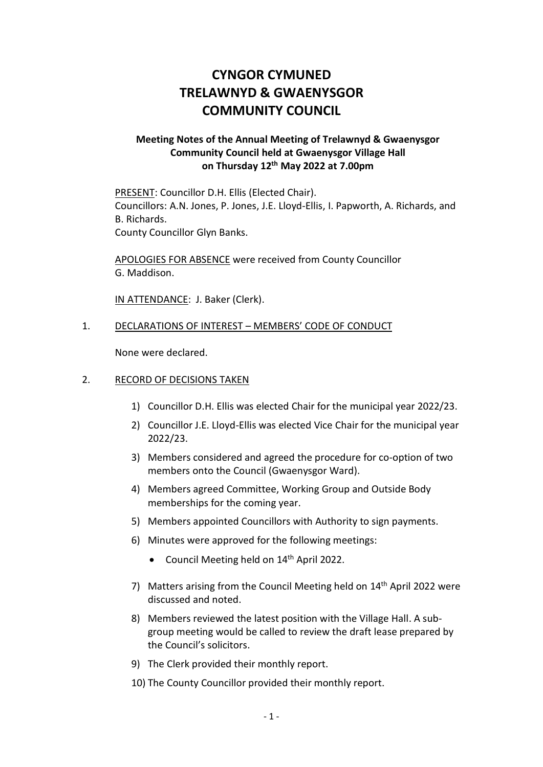## **CYNGOR CYMUNED TRELAWNYD & GWAENYSGOR COMMUNITY COUNCIL**

## **Meeting Notes of the Annual Meeting of Trelawnyd & Gwaenysgor Community Council held at Gwaenysgor Village Hall on Thursday 12 th May 2022 at 7.00pm**

PRESENT: Councillor D.H. Ellis (Elected Chair). Councillors: A.N. Jones, P. Jones, J.E. Lloyd-Ellis, I. Papworth, A. Richards, and B. Richards. County Councillor Glyn Banks.

APOLOGIES FOR ABSENCE were received from County Councillor G. Maddison.

IN ATTENDANCE: J. Baker (Clerk).

## 1. DECLARATIONS OF INTEREST – MEMBERS' CODE OF CONDUCT

None were declared.

## 2. RECORD OF DECISIONS TAKEN

- 1) Councillor D.H. Ellis was elected Chair for the municipal year 2022/23.
- 2) Councillor J.E. Lloyd-Ellis was elected Vice Chair for the municipal year 2022/23.
- 3) Members considered and agreed the procedure for co-option of two members onto the Council (Gwaenysgor Ward).
- 4) Members agreed Committee, Working Group and Outside Body memberships for the coming year.
- 5) Members appointed Councillors with Authority to sign payments.
- 6) Minutes were approved for the following meetings:
	- Council Meeting held on 14<sup>th</sup> April 2022.
- 7) Matters arising from the Council Meeting held on 14<sup>th</sup> April 2022 were discussed and noted.
- 8) Members reviewed the latest position with the Village Hall. A subgroup meeting would be called to review the draft lease prepared by the Council's solicitors.
- 9) The Clerk provided their monthly report.
- 10) The County Councillor provided their monthly report.